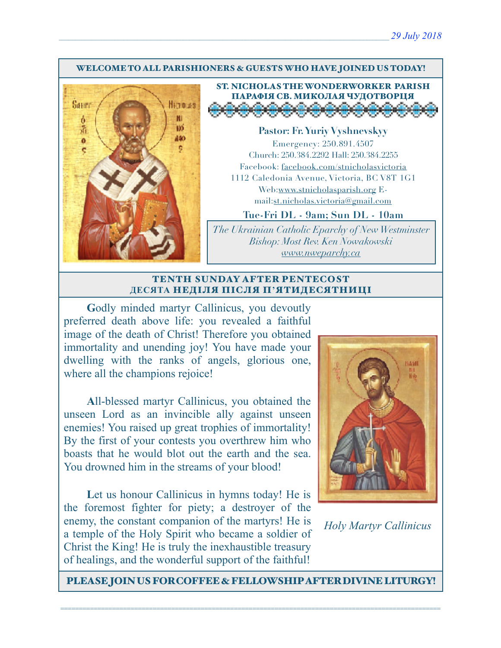#### WELCOME TO ALL PARISHIONERS & GUESTS WHO HAVE JOINED US TODAY!



ST. NICHOLAS THE WONDERWORKER PARISH ПАРАФІЯ СВ. МИКОЛАЯ ЧУДОТВОРЦЯ

**Pastor: Fr. Yuriy Vyshnevskyy** Emergency: 250.891.4507 Church: 250.384.2292 Hall: 250.384.2255 Facebook: facebook.com/stnicholasvictoria 1112 Caledonia Avenue, Victoria, BC V8T 1G1 Web[:www.stnicholasparish.org](http://www.stnicholasparish.org) Email:[st.nicholas.victoria@gmail.com](mailto:st.nicholas.victoria@gmail.com)

**Tue-Fri DL - 9am; Sun DL - 10am**

*The Ukrainian Catholic Eparchy of New Westminster Bishop: Most Rev. Ken Nowakowski [www.nweparchy.ca](http://www.nweparchy.ca)*

#### TENTH SUNDAY AFTER PENTECOST **ДЕСЯТА** НЕДІЛЯ ПІСЛЯ П**'**ЯТИДЕСЯТНИЦІ

**G**odly minded martyr Callinicus, you devoutly preferred death above life: you revealed a faithful image of the death of Christ! Therefore you obtained immortality and unending joy! You have made your dwelling with the ranks of angels, glorious one, where all the champions rejoice!

**A**ll-blessed martyr Callinicus, you obtained the unseen Lord as an invincible ally against unseen enemies! You raised up great trophies of immortality! By the first of your contests you overthrew him who boasts that he would blot out the earth and the sea. You drowned him in the streams of your blood!

Let us honour Callinicus in hymns today! He is the foremost fighter for piety; a destroyer of the enemy, the constant companion of the martyrs! He is a temple of the Holy Spirit who became a soldier of Christ the King! He is truly the inexhaustible treasury of healings, and the wonderful support of the faithful!



*Holy Martyr Callinicus*

PLEASE JOIN US FOR COFFEE & FELLOWSHIP AFTER DIVINE LITURGY!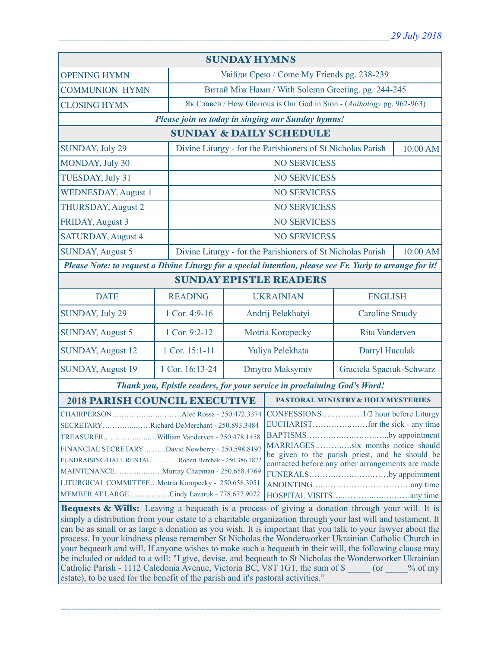| <b>SUNDAY HYMNS</b>                                                                                                                                                                                                                                                                                                                                                                                                                                                                                                                                                                                                                                                                                                                                                                                                                                                                                                                                                                                                                                                                                                                                                                                                                                                                                                                                                         |                     |                                                                         |                                                                       |                          |          |  |
|-----------------------------------------------------------------------------------------------------------------------------------------------------------------------------------------------------------------------------------------------------------------------------------------------------------------------------------------------------------------------------------------------------------------------------------------------------------------------------------------------------------------------------------------------------------------------------------------------------------------------------------------------------------------------------------------------------------------------------------------------------------------------------------------------------------------------------------------------------------------------------------------------------------------------------------------------------------------------------------------------------------------------------------------------------------------------------------------------------------------------------------------------------------------------------------------------------------------------------------------------------------------------------------------------------------------------------------------------------------------------------|---------------------|-------------------------------------------------------------------------|-----------------------------------------------------------------------|--------------------------|----------|--|
| <b>OPENING HYMN</b>                                                                                                                                                                                                                                                                                                                                                                                                                                                                                                                                                                                                                                                                                                                                                                                                                                                                                                                                                                                                                                                                                                                                                                                                                                                                                                                                                         |                     | Увійди Єрею / Come My Friends pg. 238-239                               |                                                                       |                          |          |  |
| <b>COMMUNION HYMN</b>                                                                                                                                                                                                                                                                                                                                                                                                                                                                                                                                                                                                                                                                                                                                                                                                                                                                                                                                                                                                                                                                                                                                                                                                                                                                                                                                                       |                     | Витай Між Нами / With Solemn Greeting. pg. 244-245                      |                                                                       |                          |          |  |
| <b>CLOSING HYMN</b>                                                                                                                                                                                                                                                                                                                                                                                                                                                                                                                                                                                                                                                                                                                                                                                                                                                                                                                                                                                                                                                                                                                                                                                                                                                                                                                                                         |                     |                                                                         | Як Славен / How Glorious is Our God in Sion - (Anthology pg. 962-963) |                          |          |  |
| Please join us today in singing our Sunday hymns!                                                                                                                                                                                                                                                                                                                                                                                                                                                                                                                                                                                                                                                                                                                                                                                                                                                                                                                                                                                                                                                                                                                                                                                                                                                                                                                           |                     |                                                                         |                                                                       |                          |          |  |
| <b>SUNDAY &amp; DAILY SCHEDULE</b>                                                                                                                                                                                                                                                                                                                                                                                                                                                                                                                                                                                                                                                                                                                                                                                                                                                                                                                                                                                                                                                                                                                                                                                                                                                                                                                                          |                     |                                                                         |                                                                       |                          |          |  |
| <b>SUNDAY, July 29</b>                                                                                                                                                                                                                                                                                                                                                                                                                                                                                                                                                                                                                                                                                                                                                                                                                                                                                                                                                                                                                                                                                                                                                                                                                                                                                                                                                      |                     | Divine Liturgy - for the Parishioners of St Nicholas Parish             |                                                                       |                          | 10:00 AM |  |
| MONDAY, July 30                                                                                                                                                                                                                                                                                                                                                                                                                                                                                                                                                                                                                                                                                                                                                                                                                                                                                                                                                                                                                                                                                                                                                                                                                                                                                                                                                             |                     |                                                                         |                                                                       | <b>NO SERVICESS</b>      |          |  |
| TUESDAY, July 31                                                                                                                                                                                                                                                                                                                                                                                                                                                                                                                                                                                                                                                                                                                                                                                                                                                                                                                                                                                                                                                                                                                                                                                                                                                                                                                                                            |                     |                                                                         |                                                                       | <b>NO SERVICESS</b>      |          |  |
| <b>WEDNESDAY, August 1</b><br><b>NO SERVICESS</b>                                                                                                                                                                                                                                                                                                                                                                                                                                                                                                                                                                                                                                                                                                                                                                                                                                                                                                                                                                                                                                                                                                                                                                                                                                                                                                                           |                     |                                                                         |                                                                       |                          |          |  |
| <b>THURSDAY, August 2</b><br><b>NO SERVICESS</b>                                                                                                                                                                                                                                                                                                                                                                                                                                                                                                                                                                                                                                                                                                                                                                                                                                                                                                                                                                                                                                                                                                                                                                                                                                                                                                                            |                     |                                                                         |                                                                       |                          |          |  |
| FRIDAY, August 3                                                                                                                                                                                                                                                                                                                                                                                                                                                                                                                                                                                                                                                                                                                                                                                                                                                                                                                                                                                                                                                                                                                                                                                                                                                                                                                                                            | <b>NO SERVICESS</b> |                                                                         |                                                                       |                          |          |  |
| <b>SATURDAY, August 4</b>                                                                                                                                                                                                                                                                                                                                                                                                                                                                                                                                                                                                                                                                                                                                                                                                                                                                                                                                                                                                                                                                                                                                                                                                                                                                                                                                                   |                     |                                                                         | <b>NO SERVICESS</b>                                                   |                          |          |  |
| <b>SUNDAY, August 5</b>                                                                                                                                                                                                                                                                                                                                                                                                                                                                                                                                                                                                                                                                                                                                                                                                                                                                                                                                                                                                                                                                                                                                                                                                                                                                                                                                                     |                     | Divine Liturgy - for the Parishioners of St Nicholas Parish<br>10:00 AM |                                                                       |                          |          |  |
| Please Note: to request a Divine Liturgy for a special intention, please see Fr. Yuriy to arrange for it!                                                                                                                                                                                                                                                                                                                                                                                                                                                                                                                                                                                                                                                                                                                                                                                                                                                                                                                                                                                                                                                                                                                                                                                                                                                                   |                     |                                                                         |                                                                       |                          |          |  |
| <b>SUNDAY EPISTLE READERS</b>                                                                                                                                                                                                                                                                                                                                                                                                                                                                                                                                                                                                                                                                                                                                                                                                                                                                                                                                                                                                                                                                                                                                                                                                                                                                                                                                               |                     |                                                                         |                                                                       |                          |          |  |
| <b>DATE</b>                                                                                                                                                                                                                                                                                                                                                                                                                                                                                                                                                                                                                                                                                                                                                                                                                                                                                                                                                                                                                                                                                                                                                                                                                                                                                                                                                                 | <b>READING</b>      | <b>UKRAINIAN</b>                                                        |                                                                       | <b>ENGLISH</b>           |          |  |
| SUNDAY, July 29                                                                                                                                                                                                                                                                                                                                                                                                                                                                                                                                                                                                                                                                                                                                                                                                                                                                                                                                                                                                                                                                                                                                                                                                                                                                                                                                                             | 1 Cor. 4:9-16       |                                                                         | Andrij Pelekhatyi                                                     | <b>Caroline Smudy</b>    |          |  |
| <b>SUNDAY, August 5</b>                                                                                                                                                                                                                                                                                                                                                                                                                                                                                                                                                                                                                                                                                                                                                                                                                                                                                                                                                                                                                                                                                                                                                                                                                                                                                                                                                     | 1 Cor. 9:2-12       | Motria Koropecky                                                        |                                                                       | Rita Vanderven           |          |  |
| <b>SUNDAY, August 12</b>                                                                                                                                                                                                                                                                                                                                                                                                                                                                                                                                                                                                                                                                                                                                                                                                                                                                                                                                                                                                                                                                                                                                                                                                                                                                                                                                                    | 1 Cor. 15:1-11      | Yuliya Pelekhata                                                        |                                                                       | Darryl Huculak           |          |  |
| <b>SUNDAY, August 19</b>                                                                                                                                                                                                                                                                                                                                                                                                                                                                                                                                                                                                                                                                                                                                                                                                                                                                                                                                                                                                                                                                                                                                                                                                                                                                                                                                                    | 1 Cor. 16:13-24     | Dmytro Maksymiv                                                         |                                                                       | Graciela Spaciuk-Schwarz |          |  |
| Thank you, Epistle readers, for your service in proclaiming God's Word!                                                                                                                                                                                                                                                                                                                                                                                                                                                                                                                                                                                                                                                                                                                                                                                                                                                                                                                                                                                                                                                                                                                                                                                                                                                                                                     |                     |                                                                         |                                                                       |                          |          |  |
| <b>2018 PARISH COUNCIL EXECUTIVE</b>                                                                                                                                                                                                                                                                                                                                                                                                                                                                                                                                                                                                                                                                                                                                                                                                                                                                                                                                                                                                                                                                                                                                                                                                                                                                                                                                        |                     |                                                                         | PASTORAL MINISTRY & HOLY MYSTERIES                                    |                          |          |  |
| Alec Rossa - 250.472.3374 CONFESSIONS<br>$.1/2$ hour before Liturgy<br><b>CHAIRPERSON</b><br>SECRETARYRichard DeMerchant - 250.893.3484<br>BAPTISMSby appointment<br>MARRIAGESsix months notice should<br>FINANCIAL SECRETARYDavid Newberry - 250.598.8197<br>be given to the parish priest, and he should be<br>FUNDRAISING/HALL RENTALRobert Herchak - 250.386.7872<br>contacted before any other arrangements are made<br>MAINTENANCEMurray Chapman - 250.658.4769<br>FUNERALSby appointment<br>LITURGICAL COMMITTEEMotria Koropecky - 250.658.3051<br>MEMBER AT LARGECindy Lazaruk - 778.677.9072<br><b>Bequests &amp; Wills:</b> Leaving a bequeath is a process of giving a donation through your will. It is<br>simply a distribution from your estate to a charitable organization through your last will and testament. It<br>can be as small or as large a donation as you wish. It is important that you talk to your lawyer about the<br>process. In your kindness please remember St Nicholas the Wonderworker Ukrainian Catholic Church in<br>your bequeath and will. If anyone wishes to make such a bequeath in their will, the following clause may<br>be included or added to a will: "I give, devise, and bequeath to St Nicholas the Wonderworker Ukrainian<br>Catholic Parish - 1112 Caledonia Avenue, Victoria BC, V8T 1G1, the sum of \$ (or % of my |                     |                                                                         |                                                                       |                          |          |  |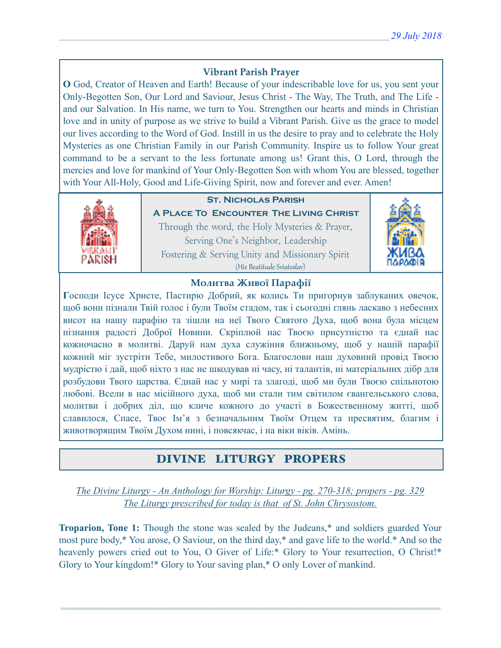# **Vibrant Parish Prayer**

**O** God, Creator of Heaven and Earth! Because of your indescribable love for us, you sent your Only-Begotten Son, Our Lord and Saviour, Jesus Christ - The Way, The Truth, and The Life and our Salvation. In His name, we turn to You. Strengthen our hearts and minds in Christian love and in unity of purpose as we strive to build a Vibrant Parish. Give us the grace to model our lives according to the Word of God. Instill in us the desire to pray and to celebrate the Holy Mysteries as one Christian Family in our Parish Community. Inspire us to follow Your great command to be a servant to the less fortunate among us! Grant this, O Lord, through the mercies and love for mankind of Your Only-Begotten Son with whom You are blessed, together with Your All-Holy, Good and Life-Giving Spirit, now and forever and ever. Amen!



# **St. Nicholas Parish**

**A Place To Encounter The Living Christ** Through the word, the Holy Mysteries & Prayer, Serving One's Neighbor, Leadership Fostering & Serving Unity and Missionary Spirit (His Beatitude Sviatoslav)



# **Молитва Живої Парафії**

**Г**осподи Ісусе Христе, Пастирю Добрий, як колись Ти пригорнув заблуканих овечок, щоб вони пізнали Твій голос і були Твоїм стадом, так і сьогодні глянь ласкаво з небесних висот на нашу парафію та зішли на неї Твого Святого Духа, щоб вона була місцем пізнання радості Доброї Новини. Скріплюй нас Твоєю присутністю та єднай нас кожночасно в молитві. Даруй нам духа служіння ближньому, щоб у нашій парафії кожний міг зустріти Тебе, милостивого Бога. Благослови наш духовний провід Твоєю мудрістю і дай, щоб ніхто з нас не шкодував ні часу, ні талантів, ні матеріальних дібр для розбудови Твого царства. Єднай нас у мирі та злагоді, щоб ми були Твоєю спільнотою любові. Всели в нас місійного духа, щоб ми стали тим світилом євангельського слова, молитви і добрих діл, що кличе кожного до участі в Божественному житті, щоб славилося, Спасе, Твоє Ім'я з безначальним Твоїм Отцем та пресвятим, благим і животворящим Твоїм Духом нині, і повсякчас, і на віки віків. Амінь.

# DIVINE LITURGY PROPERS

*The Divine Liturgy - An Anthology for Worship: Liturgy - pg. 270-318; propers - pg. 329 The Liturgy prescribed for today is that of St. John Chrysostom.* 

**Troparion, Tone 1:** Though the stone was sealed by the Judeans,\* and soldiers guarded Your most pure body,\* You arose, O Saviour, on the third day,\* and gave life to the world.\* And so the heavenly powers cried out to You, O Giver of Life:\* Glory to Your resurrection, O Christ!\* Glory to Your kingdom!\* Glory to Your saving plan,\* O only Lover of mankind.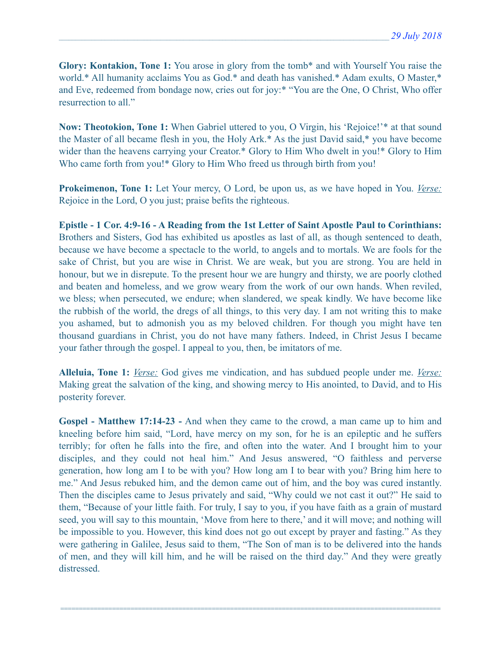**Glory: Kontakion, Tone 1:** You arose in glory from the tomb\* and with Yourself You raise the world.\* All humanity acclaims You as God.\* and death has vanished.\* Adam exults, O Master,\* and Eve, redeemed from bondage now, cries out for joy:\* "You are the One, O Christ, Who offer resurrection to all."

**Now: Theotokion, Tone 1:** When Gabriel uttered to you, O Virgin, his 'Rejoice!'\* at that sound the Master of all became flesh in you, the Holy Ark.\* As the just David said,\* you have become wider than the heavens carrying your Creator.\* Glory to Him Who dwelt in you!\* Glory to Him Who came forth from you!\* Glory to Him Who freed us through birth from you!

**Prokeimenon, Tone 1:** Let Your mercy, O Lord, be upon us, as we have hoped in You. *Verse:* Rejoice in the Lord, O you just; praise befits the righteous.

**Epistle - 1 Cor. 4:9-16 - A Reading from the 1st Letter of Saint Apostle Paul to Corinthians:**  Brothers and Sisters, God has exhibited us apostles as last of all, as though sentenced to death, because we have become a spectacle to the world, to angels and to mortals. We are fools for the sake of Christ, but you are wise in Christ. We are weak, but you are strong. You are held in honour, but we in disrepute. To the present hour we are hungry and thirsty, we are poorly clothed and beaten and homeless, and we grow weary from the work of our own hands. When reviled, we bless; when persecuted, we endure; when slandered, we speak kindly. We have become like the rubbish of the world, the dregs of all things, to this very day. I am not writing this to make you ashamed, but to admonish you as my beloved children. For though you might have ten thousand guardians in Christ, you do not have many fathers. Indeed, in Christ Jesus I became your father through the gospel. I appeal to you, then, be imitators of me.

**Alleluia, Tone 1:** *Verse:* God gives me vindication, and has subdued people under me. *Verse:* Making great the salvation of the king, and showing mercy to His anointed, to David, and to His posterity forever.

**Gospel - Matthew 17:14-23 -** And when they came to the crowd, a man came up to him and kneeling before him said, "Lord, have mercy on my son, for he is an epileptic and he suffers terribly; for often he falls into the fire, and often into the water. And I brought him to your disciples, and they could not heal him." And Jesus answered, "O faithless and perverse generation, how long am I to be with you? How long am I to bear with you? Bring him here to me." And Jesus rebuked him, and the demon came out of him, and the boy was cured instantly. Then the disciples came to Jesus privately and said, "Why could we not cast it out?" He said to them, "Because of your little faith. For truly, I say to you, if you have faith as a grain of mustard seed, you will say to this mountain, 'Move from here to there,' and it will move; and nothing will be impossible to you. However, this kind does not go out except by prayer and fasting." As they were gathering in Galilee, Jesus said to them, "The Son of man is to be delivered into the hands of men, and they will kill him, and he will be raised on the third day." And they were greatly distressed.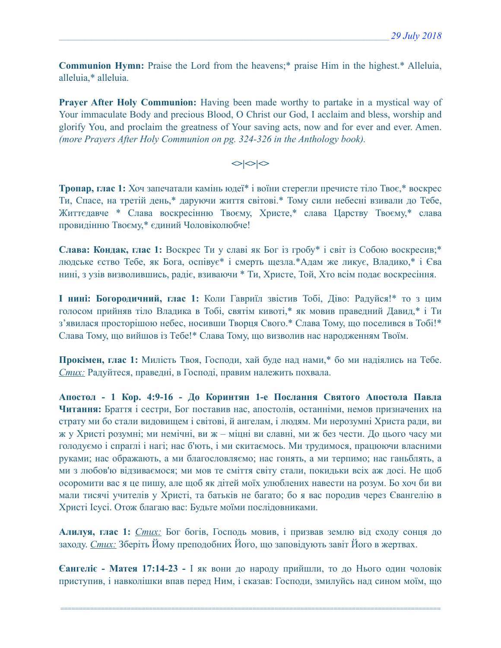**Communion Hymn:** Praise the Lord from the heavens;\* praise Him in the highest.\* Alleluia, alleluia,\* alleluia.

**Prayer After Holy Communion:** Having been made worthy to partake in a mystical way of Your immaculate Body and precious Blood, O Christ our God, I acclaim and bless, worship and glorify You, and proclaim the greatness of Your saving acts, now and for ever and ever. Amen. *(more Prayers After Holy Communion on pg. 324-326 in the Anthology book).* 

## $\left| \diamond \right| \diamond \left| \diamond \right|$

**Тропар, глас 1:** Хоч запечатали камінь юдеї\* і воїни стерегли пречисте тіло Твоє,\* воскрес Ти, Спасе, на третій день,\* даруючи життя світові.\* Тому сили небесні взивали до Тебе, Життєдавче \* Слава воскресінню Твоєму, Христе,\* слава Царству Твоєму,\* слава провидінню Твоєму,\* єдиний Чоловіколюбче!

**Слава: Кондак, глас 1:** Воскрес Ти у славі як Бог із гробу\* і світ із Собою воскресив;\* людське єство Тебе, як Бога, оспівує\* і смерть щезла.\*Адам же ликує, Владико,\* і Єва нині, з узів визволившись, радіє, взиваючи \* Ти, Христе, Той, Хто всім подає воскресіння.

**І нині: Богородичний, глас 1:** Коли Гавриїл звістив Тобі, Діво: Радуйся!\* то з цим голосом прийняв тіло Владика в Тобі, святім кивоті,\* як мовив праведний Давид,\* і Ти з'явилася просторішою небес, носивши Творця Свого.\* Слава Тому, що поселився в Тобі!\* Слава Тому, що вийшов із Тебе!\* Слава Тому, що визволив нас народженням Твоїм.

**Прокімен, глас 1:** Милість Твоя, Господи, хай буде над нами,\* бо ми надіялись на Тебе. *Стих:* Радуйтеся, праведні, в Господі, правим належить похвала.

**Апостол - 1 Кор. 4:9-16 - До Коринтян 1-e Послання Святого Апостола Павла Читання:** Браття і сестри, Бог поставив нас, апостолів, останніми, немов призначених на страту ми бо стали видовищем і світові, й ангелам, і людям. Ми нерозумні Христа ради, ви ж у Христі розумні; ми немічні, ви ж – міцні ви славні, ми ж без чести. До цього часу ми голодуємо і спраглі і нагі; нас б'ють, і ми скитаємось. Ми трудимося, працюючи власними руками; нас ображають, а ми благословляємо; нас гонять, а ми терпимо; нас ганьблять, а ми з любов'ю відзиваємося; ми мов те сміття світу стали, покидьки всіх аж досі. Не щоб осоромити вас я це пишу, але щоб як дітей моїх улюблених навести на розум. Бо хоч би ви мали тисячі учителів у Христі, та батьків не багато; бо я вас породив через Євангелію в Христі Ісусі. Отож благаю вас: Будьте моїми послідовниками.

**Алилуя, глас 1:** *Стих:* Бог богів, Господь мовив, і призвав землю від сходу сонця до заходу. *Стих:* Зберіть Йому преподобних Його, що заповідують завіт Його в жертвах.

**Єангеліє - Матея 17:14-23 -** І як вони до народу прийшли, то до Нього один чоловік приступив, і навколішки впав перед Ним, і сказав: Господи, змилуйсь над сином моїм, що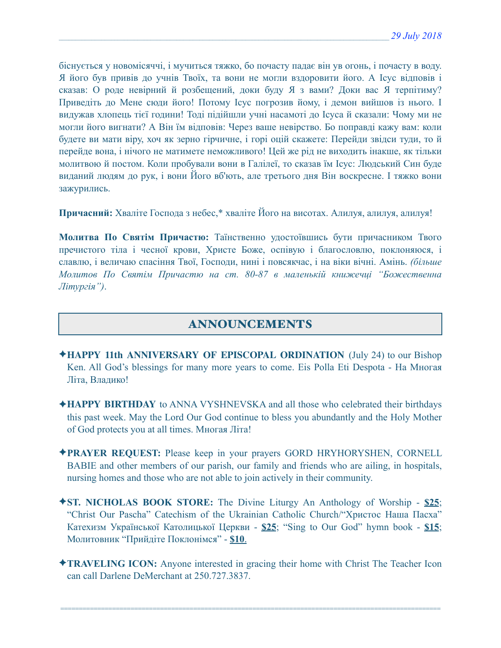біснується у новомісяччі, і мучиться тяжко, бо почасту падає він ув огонь, і почасту в воду. Я його був привів до учнів Твоїх, та вони не могли вздоровити його. А Ісус відповів і сказав: О роде невірний й розбещений, доки буду Я з вами? Доки вас Я терпітиму? Приведіть до Мене сюди його! Потому Ісус погрозив йому, і демон вийшов із нього. І видужав хлопець тієї години! Тоді підійшли учні насамоті до Ісуса й сказали: Чому ми не могли його вигнати? А Він їм відповів: Через ваше невірство. Бо поправді кажу вам: коли будете ви мати віру, хоч як зерно гірчичне, і горі оцій скажете: Перейди звідси туди, то й перейде вона, і нічого не матимете неможливого! Цей же рід не виходить інакше, як тільки молитвою й постом. Коли пробували вони в Галілеї, то сказав їм Ісус: Людський Син буде виданий людям до рук, і вони Його вб'ють, але третього дня Він воскресне. І тяжко вони зажурились.

**Причасний:** Хваліте Господа з небес,\* хваліте Його на висотах. Алилуя, алилуя, алилуя!

**Молитва По Святім Причастю:** Таїнственно удостоївшись бути причасником Твого пречистого тіла і чесної крови, Христе Боже, оспівую і благословлю, поклоняюся, і славлю, і величаю спасіння Твої, Господи, нині і повсякчас, і на віки вічні. Амінь. *(більше Молитов По Святім Причастю на ст. 80-87 в маленькій книжечці "Божественна Літургія")*.

# ANNOUNCEMENTS

- ✦**HAPPY 11th ANNIVERSARY OF EPISCOPAL ORDINATION** (July 24) to our Bishop Ken. All God's blessings for many more years to come. Eis Polla Eti Despota - На Многая Літа, Владико!
- ✦**HAPPY BIRTHDAY** to ANNA VYSHNEVSKA and all those who celebrated their birthdays this past week. May the Lord Our God continue to bless you abundantly and the Holy Mother of God protects you at all times. Многая Літа!
- ✦**PRAYER REQUEST:** Please keep in your prayers GORD HRYHORYSHEN, CORNELL BABIE and other members of our parish, our family and friends who are ailing, in hospitals, nursing homes and those who are not able to join actively in their community.
- ✦**ST. NICHOLAS BOOK STORE:** The Divine Liturgy An Anthology of Worship **\$25**; "Christ Our Pascha" Catechism of the Ukrainian Catholic Church/"Христос Наша Пасха" Катехизм Української Католицької Церкви - **\$25**; "Sing to Our God" hymn book - **\$15**; Молитовник "Прийдіте Поклонімся" - **\$10**.
- ✦**TRAVELING ICON:** Anyone interested in gracing their home with Christ The Teacher Icon can call Darlene DeMerchant at 250.727.3837.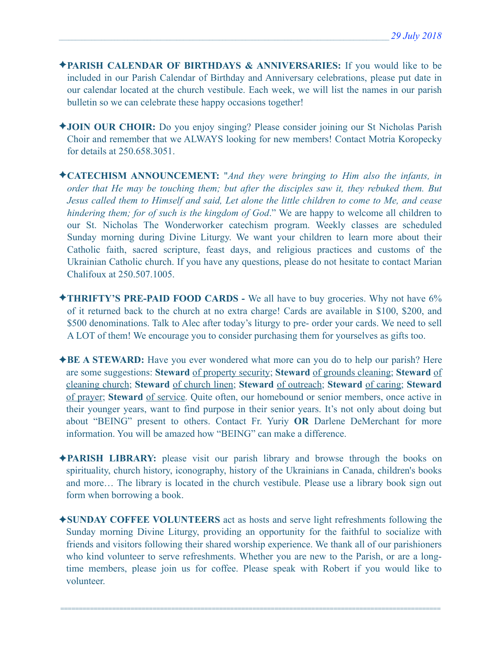- ✦**PARISH CALENDAR OF BIRTHDAYS & ANNIVERSARIES:** If you would like to be included in our Parish Calendar of Birthday and Anniversary celebrations, please put date in our calendar located at the church vestibule. Each week, we will list the names in our parish bulletin so we can celebrate these happy occasions together!
- ✦**JOIN OUR CHOIR:** Do you enjoy singing? Please consider joining our St Nicholas Parish Choir and remember that we ALWAYS looking for new members! Contact Motria Koropecky for details at 250.658.3051.
- ✦**CATECHISM ANNOUNCEMENT:** "*And they were bringing to Him also the infants, in order that He may be touching them; but after the disciples saw it, they rebuked them. But Jesus called them to Himself and said, Let alone the little children to come to Me, and cease hindering them; for of such is the kingdom of God*." We are happy to welcome all children to our St. Nicholas The Wonderworker catechism program. Weekly classes are scheduled Sunday morning during Divine Liturgy. We want your children to learn more about their Catholic faith, sacred scripture, feast days, and religious practices and customs of the Ukrainian Catholic church. If you have any questions, please do not hesitate to contact Marian Chalifoux at 250.507.1005.
- ✦**THRIFTY'S PRE-PAID FOOD CARDS** We all have to buy groceries. Why not have 6% of it returned back to the church at no extra charge! Cards are available in \$100, \$200, and \$500 denominations. Talk to Alec after today's liturgy to pre- order your cards. We need to sell A LOT of them! We encourage you to consider purchasing them for yourselves as gifts too.
- ✦**BE A STEWARD:** Have you ever wondered what more can you do to help our parish? Here are some suggestions: **Steward** of property security; **Steward** of grounds cleaning; **Steward** of cleaning church; **Steward** of church linen; **Steward** of outreach; **Steward** of caring; **Steward** of prayer; **Steward** of service. Quite often, our homebound or senior members, once active in their younger years, want to find purpose in their senior years. It's not only about doing but about "BEING" present to others. Contact Fr. Yuriy **OR** Darlene DeMerchant for more information. You will be amazed how "BEING" can make a difference.
- ✦**PARISH LIBRARY:** please visit our parish library and browse through the books on spirituality, church history, iconography, history of the Ukrainians in Canada, children's books and more… The library is located in the church vestibule. Please use a library book sign out form when borrowing a book.
- ✦**SUNDAY COFFEE VOLUNTEERS** act as hosts and serve light refreshments following the Sunday morning Divine Liturgy, providing an opportunity for the faithful to socialize with friends and visitors following their shared worship experience. We thank all of our parishioners who kind volunteer to serve refreshments. Whether you are new to the Parish, or are a longtime members, please join us for coffee. Please speak with Robert if you would like to volunteer.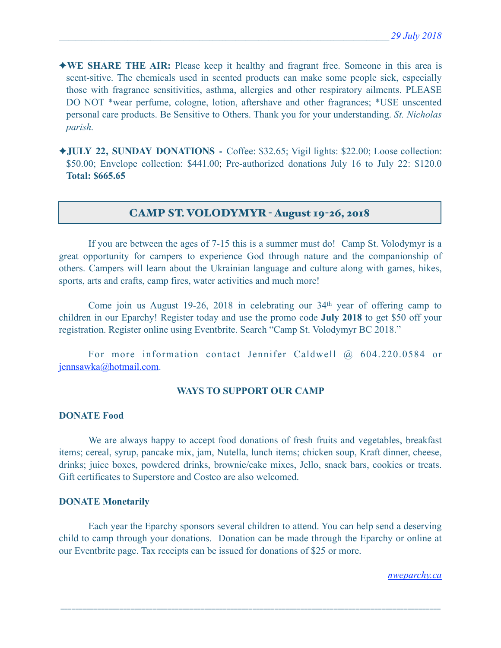- ✦**WE SHARE THE AIR:** Please keep it healthy and fragrant free. Someone in this area is scent-sitive. The chemicals used in scented products can make some people sick, especially those with fragrance sensitivities, asthma, allergies and other respiratory ailments. PLEASE DO NOT \*wear perfume, cologne, lotion, aftershave and other fragrances; \*USE unscented personal care products. Be Sensitive to Others. Thank you for your understanding. *St. Nicholas parish.*
- ✦**JULY 22, SUNDAY DONATIONS** Coffee: \$32.65; Vigil lights: \$22.00; Loose collection: \$50.00; Envelope collection: \$441.00; Pre-authorized donations July 16 to July 22: \$120.0 **Total: \$665.65**

## CAMP ST. VOLODYMYR - August 19-26, 2018

 If you are between the ages of 7-15 this is a summer must do! Camp St. Volodymyr is a great opportunity for campers to experience God through nature and the companionship of others. Campers will learn about the Ukrainian language and culture along with games, hikes, sports, arts and crafts, camp fires, water activities and much more!

 Come join us August 19-26, 2018 in celebrating our 34th year of offering camp to children in our Eparchy! Register today and use the promo code **July 2018** to get \$50 off your registration. Register online using Eventbrite. Search "Camp St. Volodymyr BC 2018."

For more information contact Jennifer Caldwell @ 604.220.0584 or [jennsawka@hotmail.com](mailto:jennsawka@hotmail.com).

### **WAYS TO SUPPORT OUR CAMP**

#### **DONATE Food**

 We are always happy to accept food donations of fresh fruits and vegetables, breakfast items; cereal, syrup, pancake mix, jam, Nutella, lunch items; chicken soup, Kraft dinner, cheese, drinks; juice boxes, powdered drinks, brownie/cake mixes, Jello, snack bars, cookies or treats. Gift certificates to Superstore and Costco are also welcomed.

#### **DONATE Monetarily**

 Each year the Eparchy sponsors several children to attend. You can help send a deserving child to camp through your donations. Donation can be made through the Eparchy or online at our Eventbrite page. Tax receipts can be issued for donations of \$25 or more.

=======================================================================================================

*[nweparchy.ca](http://nweparchy.ca)*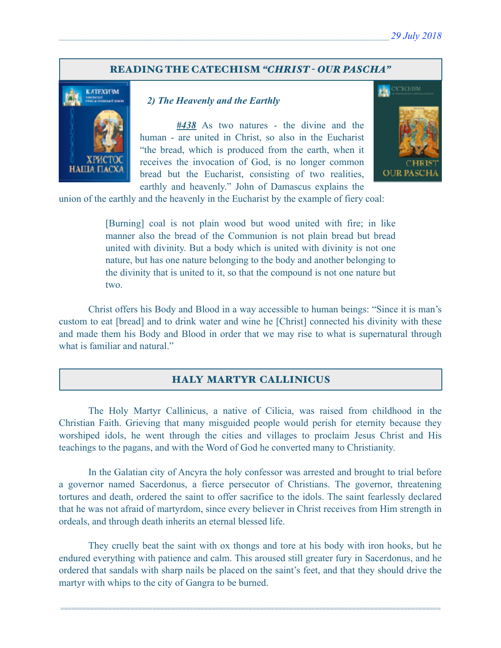#### READING THE CATECHISM *"CHRIST - OUR PASCHA"*



#### *2) The Heavenly and the Earthly*

 *#438* As two natures - the divine and the human - are united in Christ, so also in the Eucharist "the bread, which is produced from the earth, when it receives the invocation of God, is no longer common bread but the Eucharist, consisting of two realities, earthly and heavenly." John of Damascus explains the



union of the earthly and the heavenly in the Eucharist by the example of fiery coal:

[Burning] coal is not plain wood but wood united with fire; in like manner also the bread of the Communion is not plain bread but bread united with divinity. But a body which is united with divinity is not one nature, but has one nature belonging to the body and another belonging to the divinity that is united to it, so that the compound is not one nature but two.

 Christ offers his Body and Blood in a way accessible to human beings: "Since it is man's custom to eat [bread] and to drink water and wine he [Christ] connected his divinity with these and made them his Body and Blood in order that we may rise to what is supernatural through what is familiar and natural."

## HALY MARTYR CALLINICUS

 The Holy Martyr Callinicus, a native of Cilicia, was raised from childhood in the Christian Faith. Grieving that many misguided people would perish for eternity because they worshiped idols, he went through the cities and villages to proclaim Jesus Christ and His teachings to the pagans, and with the Word of God he converted many to Christianity.

In the Galatian city of Ancyra the holy confessor was arrested and brought to trial before a governor named Sacerdonus, a fierce persecutor of Christians. The governor, threatening tortures and death, ordered the saint to offer sacrifice to the idols. The saint fearlessly declared that he was not afraid of martyrdom, since every believer in Christ receives from Him strength in ordeals, and through death inherits an eternal blessed life.

They cruelly beat the saint with ox thongs and tore at his body with iron hooks, but he endured everything with patience and calm. This aroused still greater fury in Sacerdonus, and he ordered that sandals with sharp nails be placed on the saint's feet, and that they should drive the martyr with whips to the city of Gangra to be burned.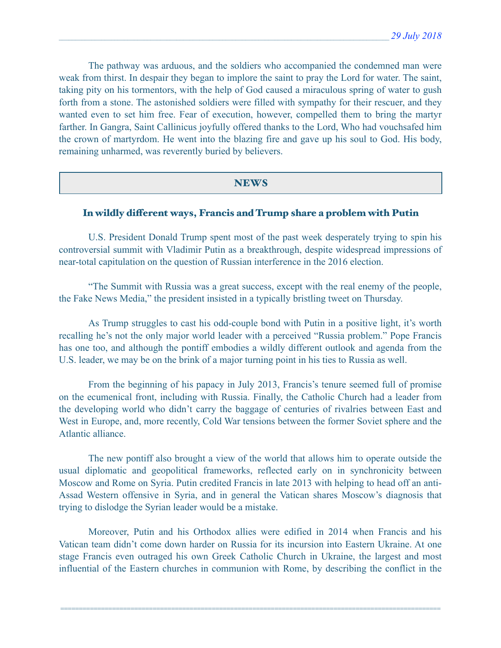The pathway was arduous, and the soldiers who accompanied the condemned man were weak from thirst. In despair they began to implore the saint to pray the Lord for water. The saint, taking pity on his tormentors, with the help of God caused a miraculous spring of water to gush forth from a stone. The astonished soldiers were filled with sympathy for their rescuer, and they wanted even to set him free. Fear of execution, however, compelled them to bring the martyr farther. In Gangra, Saint Callinicus joyfully offered thanks to the Lord, Who had vouchsafed him the crown of martyrdom. He went into the blazing fire and gave up his soul to God. His body, remaining unharmed, was reverently buried by believers.

#### **NEWS**

# In wildly diferent ways, Francis and Trump share a problem with Putin

 U.S. President Donald Trump spent most of the past week desperately trying to spin his controversial summit with Vladimir Putin as a breakthrough, despite widespread impressions of near-total capitulation on the question of Russian interference in the 2016 election.

 "The Summit with Russia was a great success, except with the real enemy of the people, the Fake News Media," the president insisted in a typically bristling tweet on Thursday.

 As Trump struggles to cast his odd-couple bond with Putin in a positive light, it's worth recalling he's not the only major world leader with a perceived "Russia problem." Pope Francis has one too, and although the pontiff embodies a wildly different outlook and agenda from the U.S. leader, we may be on the brink of a major turning point in his ties to Russia as well.

 From the beginning of his papacy in July 2013, Francis's tenure seemed full of promise on the ecumenical front, including with Russia. Finally, the Catholic Church had a leader from the developing world who didn't carry the baggage of centuries of rivalries between East and West in Europe, and, more recently, Cold War tensions between the former Soviet sphere and the Atlantic alliance.

 The new pontiff also brought a view of the world that allows him to operate outside the usual diplomatic and geopolitical frameworks, reflected early on in synchronicity between Moscow and Rome on Syria. Putin credited Francis in late 2013 with helping to head off an anti-Assad Western offensive in Syria, and in general the Vatican shares Moscow's diagnosis that trying to dislodge the Syrian leader would be a mistake.

 Moreover, Putin and his Orthodox allies were edified in 2014 when Francis and his Vatican team didn't come down harder on Russia for its incursion into Eastern Ukraine. At one stage Francis even outraged his own Greek Catholic Church in Ukraine, the largest and most influential of the Eastern churches in communion with Rome, by describing the conflict in the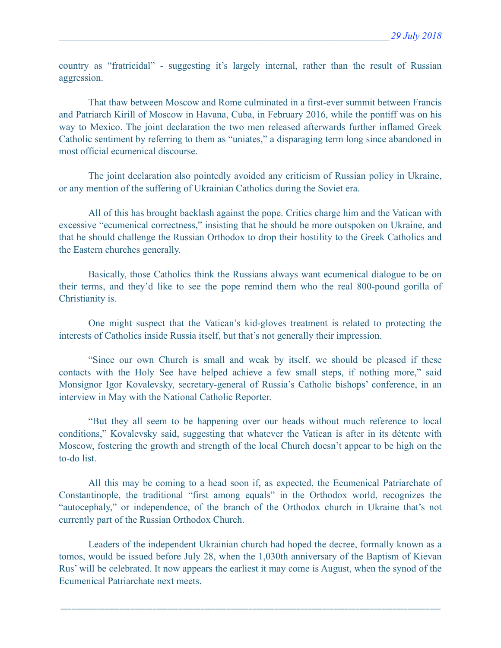country as "fratricidal" - suggesting it's largely internal, rather than the result of Russian aggression.

 That thaw between Moscow and Rome culminated in a first-ever summit between Francis and Patriarch Kirill of Moscow in Havana, Cuba, in February 2016, while the pontiff was on his way to Mexico. The joint declaration the two men released afterwards further inflamed Greek Catholic sentiment by referring to them as "uniates," a disparaging term long since abandoned in most official ecumenical discourse.

 The joint declaration also pointedly avoided any criticism of Russian policy in Ukraine, or any mention of the suffering of Ukrainian Catholics during the Soviet era.

 All of this has brought backlash against the pope. Critics charge him and the Vatican with excessive "ecumenical correctness," insisting that he should be more outspoken on Ukraine, and that he should challenge the Russian Orthodox to drop their hostility to the Greek Catholics and the Eastern churches generally.

 Basically, those Catholics think the Russians always want ecumenical dialogue to be on their terms, and they'd like to see the pope remind them who the real 800-pound gorilla of Christianity is.

 One might suspect that the Vatican's kid-gloves treatment is related to protecting the interests of Catholics inside Russia itself, but that's not generally their impression.

 "Since our own Church is small and weak by itself, we should be pleased if these contacts with the Holy See have helped achieve a few small steps, if nothing more," said Monsignor Igor Kovalevsky, secretary-general of Russia's Catholic bishops' conference, in an interview in May with the National Catholic Reporter.

 "But they all seem to be happening over our heads without much reference to local conditions," Kovalevsky said, suggesting that whatever the Vatican is after in its détente with Moscow, fostering the growth and strength of the local Church doesn't appear to be high on the to-do list.

 All this may be coming to a head soon if, as expected, the Ecumenical Patriarchate of Constantinople, the traditional "first among equals" in the Orthodox world, recognizes the "autocephaly," or independence, of the branch of the Orthodox church in Ukraine that's not currently part of the Russian Orthodox Church.

 Leaders of the independent Ukrainian church had hoped the decree, formally known as a tomos, would be issued before July 28, when the 1,030th anniversary of the Baptism of Kievan Rus' will be celebrated. It now appears the earliest it may come is August, when the synod of the Ecumenical Patriarchate next meets.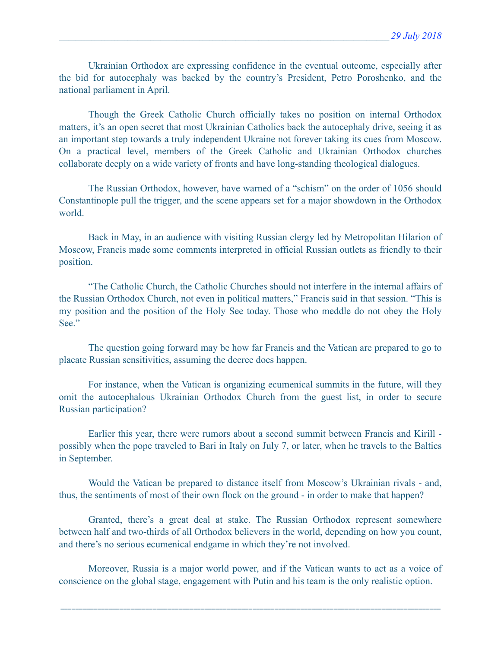Ukrainian Orthodox are expressing confidence in the eventual outcome, especially after the bid for autocephaly was backed by the country's President, Petro Poroshenko, and the national parliament in April.

 Though the Greek Catholic Church officially takes no position on internal Orthodox matters, it's an open secret that most Ukrainian Catholics back the autocephaly drive, seeing it as an important step towards a truly independent Ukraine not forever taking its cues from Moscow. On a practical level, members of the Greek Catholic and Ukrainian Orthodox churches collaborate deeply on a wide variety of fronts and have long-standing theological dialogues.

 The Russian Orthodox, however, have warned of a "schism" on the order of 1056 should Constantinople pull the trigger, and the scene appears set for a major showdown in the Orthodox world.

 Back in May, in an audience with visiting Russian clergy led by Metropolitan Hilarion of Moscow, Francis made some comments interpreted in official Russian outlets as friendly to their position.

 "The Catholic Church, the Catholic Churches should not interfere in the internal affairs of the Russian Orthodox Church, not even in political matters," Francis said in that session. "This is my position and the position of the Holy See today. Those who meddle do not obey the Holy See."

 The question going forward may be how far Francis and the Vatican are prepared to go to placate Russian sensitivities, assuming the decree does happen.

 For instance, when the Vatican is organizing ecumenical summits in the future, will they omit the autocephalous Ukrainian Orthodox Church from the guest list, in order to secure Russian participation?

 Earlier this year, there were rumors about a second summit between Francis and Kirill possibly when the pope traveled to Bari in Italy on July 7, or later, when he travels to the Baltics in September.

 Would the Vatican be prepared to distance itself from Moscow's Ukrainian rivals - and, thus, the sentiments of most of their own flock on the ground - in order to make that happen?

 Granted, there's a great deal at stake. The Russian Orthodox represent somewhere between half and two-thirds of all Orthodox believers in the world, depending on how you count, and there's no serious ecumenical endgame in which they're not involved.

 Moreover, Russia is a major world power, and if the Vatican wants to act as a voice of conscience on the global stage, engagement with Putin and his team is the only realistic option.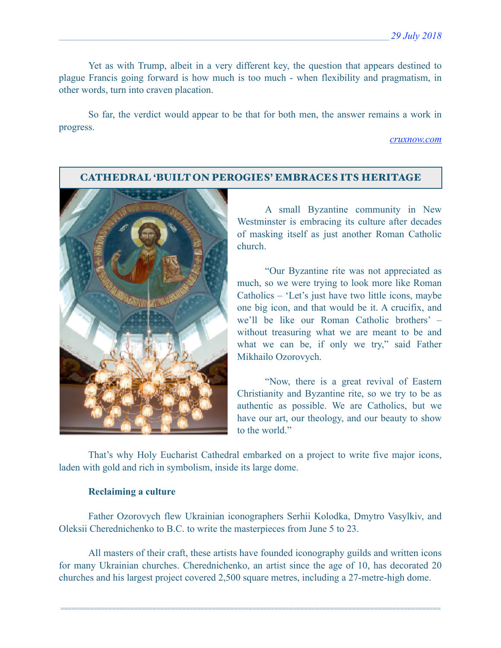Yet as with Trump, albeit in a very different key, the question that appears destined to plague Francis going forward is how much is too much - when flexibility and pragmatism, in other words, turn into craven placation.

 So far, the verdict would appear to be that for both men, the answer remains a work in progress.

*[cruxnow.com](http://cruxnow.com)*

### CATHEDRAL 'BUILT ON PEROGIES' EMBRACES ITS HERITAGE



A small Byzantine community in New Westminster is embracing its culture after decades of masking itself as just another Roman Catholic church.

 "Our Byzantine rite was not appreciated as much, so we were trying to look more like Roman Catholics – 'Let's just have two little icons, maybe one big icon, and that would be it. A crucifix, and we'll be like our Roman Catholic brothers' – without treasuring what we are meant to be and what we can be, if only we try," said Father Mikhailo Ozorovych.

 "Now, there is a great revival of Eastern Christianity and Byzantine rite, so we try to be as authentic as possible. We are Catholics, but we have our art, our theology, and our beauty to show to the world."

 That's why Holy Eucharist Cathedral embarked on a project to write five major icons, laden with gold and rich in symbolism, inside its large dome.

#### **Reclaiming a culture**

 Father Ozorovych flew Ukrainian iconographers Serhii Kolodka, Dmytro Vasylkiv, and Oleksii Cherednichenko to B.C. to write the masterpieces from June 5 to 23.

 All masters of their craft, these artists have founded iconography guilds and written icons for many Ukrainian churches. Cherednichenko, an artist since the age of 10, has decorated 20 churches and his largest project covered 2,500 square metres, including a 27-metre-high dome.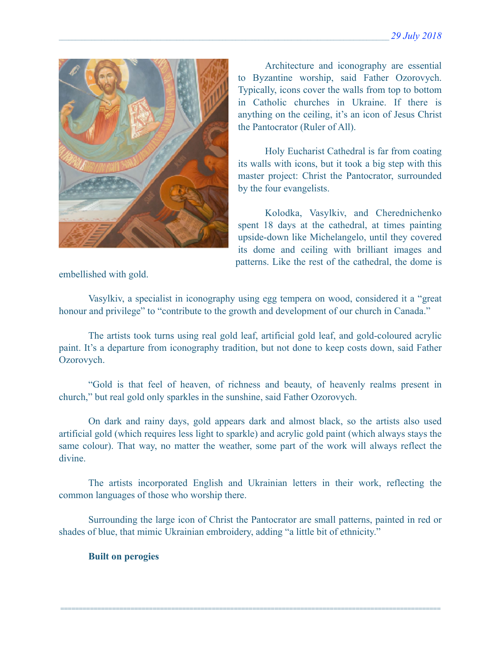

 Architecture and iconography are essential to Byzantine worship, said Father Ozorovych. Typically, icons cover the walls from top to bottom in Catholic churches in Ukraine. If there is anything on the ceiling, it's an icon of Jesus Christ the Pantocrator (Ruler of All).

 Holy Eucharist Cathedral is far from coating its walls with icons, but it took a big step with this master project: Christ the Pantocrator, surrounded by the four evangelists.

 Kolodka, Vasylkiv, and Cherednichenko spent 18 days at the cathedral, at times painting upside-down like Michelangelo, until they covered its dome and ceiling with brilliant images and patterns. Like the rest of the cathedral, the dome is

embellished with gold.

 Vasylkiv, a specialist in iconography using egg tempera on wood, considered it a "great honour and privilege" to "contribute to the growth and development of our church in Canada."

 The artists took turns using real gold leaf, artificial gold leaf, and gold-coloured acrylic paint. It's a departure from iconography tradition, but not done to keep costs down, said Father Ozorovych.

 "Gold is that feel of heaven, of richness and beauty, of heavenly realms present in church," but real gold only sparkles in the sunshine, said Father Ozorovych.

 On dark and rainy days, gold appears dark and almost black, so the artists also used artificial gold (which requires less light to sparkle) and acrylic gold paint (which always stays the same colour). That way, no matter the weather, some part of the work will always reflect the divine.

 The artists incorporated English and Ukrainian letters in their work, reflecting the common languages of those who worship there.

 Surrounding the large icon of Christ the Pantocrator are small patterns, painted in red or shades of blue, that mimic Ukrainian embroidery, adding "a little bit of ethnicity."

=======================================================================================================

### **Built on perogies**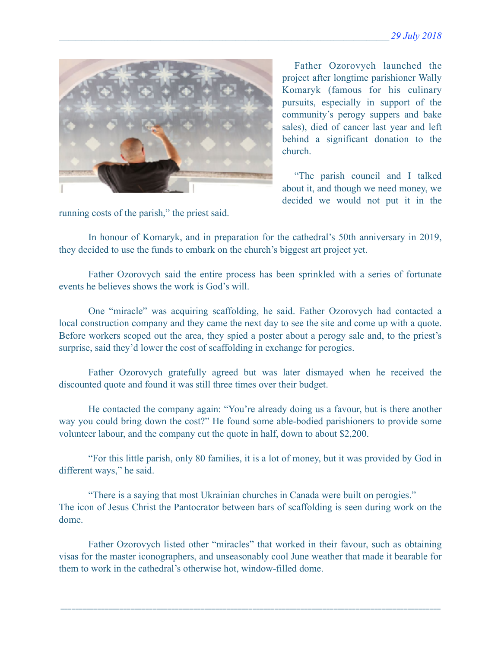

running costs of the parish," the priest said.

 Father Ozorovych launched the project after longtime parishioner Wally Komaryk (famous for his culinary pursuits, especially in support of the community's perogy suppers and bake sales), died of cancer last year and left behind a significant donation to the church.

 "The parish council and I talked about it, and though we need money, we decided we would not put it in the

 In honour of Komaryk, and in preparation for the cathedral's 50th anniversary in 2019, they decided to use the funds to embark on the church's biggest art project yet.

 Father Ozorovych said the entire process has been sprinkled with a series of fortunate events he believes shows the work is God's will.

 One "miracle" was acquiring scaffolding, he said. Father Ozorovych had contacted a local construction company and they came the next day to see the site and come up with a quote. Before workers scoped out the area, they spied a poster about a perogy sale and, to the priest's surprise, said they'd lower the cost of scaffolding in exchange for perogies.

 Father Ozorovych gratefully agreed but was later dismayed when he received the discounted quote and found it was still three times over their budget.

 He contacted the company again: "You're already doing us a favour, but is there another way you could bring down the cost?" He found some able-bodied parishioners to provide some volunteer labour, and the company cut the quote in half, down to about \$2,200.

 "For this little parish, only 80 families, it is a lot of money, but it was provided by God in different ways," he said.

 "There is a saying that most Ukrainian churches in Canada were built on perogies." The icon of Jesus Christ the Pantocrator between bars of scaffolding is seen during work on the dome.

 Father Ozorovych listed other "miracles" that worked in their favour, such as obtaining visas for the master iconographers, and unseasonably cool June weather that made it bearable for them to work in the cathedral's otherwise hot, window-filled dome.